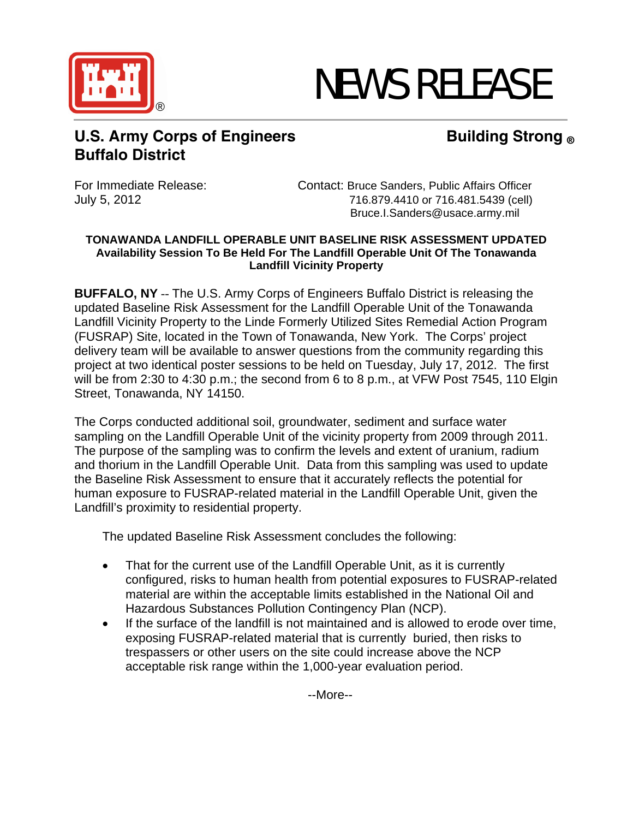

# NEWS RELEASE

## **U.S. Army Corps of Engineers Building Strong ® Buffalo District**

For Immediate Release: Contact: Bruce Sanders, Public Affairs Officer July 5, 2012 716.879.4410 or 716.481.5439 (cell) Bruce.I.Sanders@usace.army.mil

## **TONAWANDA LANDFILL OPERABLE UNIT BASELINE RISK ASSESSMENT UPDATED Availability Session To Be Held For The Landfill Operable Unit Of The Tonawanda Landfill Vicinity Property**

**BUFFALO, NY** -- The U.S. Army Corps of Engineers Buffalo District is releasing the updated Baseline Risk Assessment for the Landfill Operable Unit of the Tonawanda Landfill Vicinity Property to the Linde Formerly Utilized Sites Remedial Action Program (FUSRAP) Site, located in the Town of Tonawanda, New York. The Corps' project delivery team will be available to answer questions from the community regarding this project at two identical poster sessions to be held on Tuesday, July 17, 2012. The first will be from 2:30 to 4:30 p.m.; the second from 6 to 8 p.m., at VFW Post 7545, 110 Elgin Street, Tonawanda, NY 14150.

The Corps conducted additional soil, groundwater, sediment and surface water sampling on the Landfill Operable Unit of the vicinity property from 2009 through 2011. The purpose of the sampling was to confirm the levels and extent of uranium, radium and thorium in the Landfill Operable Unit. Data from this sampling was used to update the Baseline Risk Assessment to ensure that it accurately reflects the potential for human exposure to FUSRAP-related material in the Landfill Operable Unit, given the Landfill's proximity to residential property.

The updated Baseline Risk Assessment concludes the following:

- That for the current use of the Landfill Operable Unit, as it is currently configured, risks to human health from potential exposures to FUSRAP-related material are within the acceptable limits established in the National Oil and Hazardous Substances Pollution Contingency Plan (NCP).
- If the surface of the landfill is not maintained and is allowed to erode over time, exposing FUSRAP-related material that is currently buried, then risks to trespassers or other users on the site could increase above the NCP acceptable risk range within the 1,000-year evaluation period.

--More--